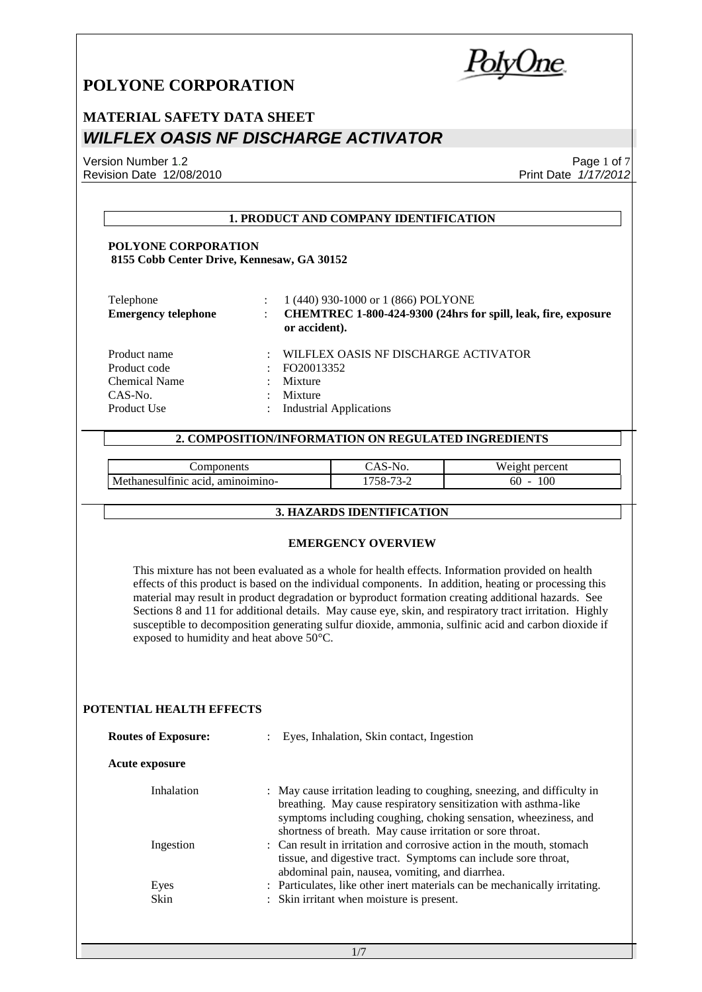PolvUne

## **MATERIAL SAFETY DATA SHEET** *WILFLEX OASIS NF DISCHARGE ACTIVATOR*

Version Number 1.2 Revision Date 12/08/2010

Page 1 of 7 Print Date *1/17/2012*

#### **1. PRODUCT AND COMPANY IDENTIFICATION**

#### **POLYONE CORPORATION 8155 Cobb Center Drive, Kennesaw, GA 30152**

| Telephone<br><b>Emergency telephone</b> |   | 1 (440) 930-1000 or 1 (866) POLYONE<br>CHEMTREC 1-800-424-9300 (24hrs for spill, leak, fire, exposure<br>or accident). |
|-----------------------------------------|---|------------------------------------------------------------------------------------------------------------------------|
| Product name                            | ٠ | WILFLEX OASIS NF DISCHARGE ACTIVATOR                                                                                   |
| Product code                            | ÷ | FO20013352                                                                                                             |
| Chemical Name                           |   | Mixture                                                                                                                |
| CAS-No.                                 | ٠ | Mixture                                                                                                                |
| Product Use                             | ÷ | <b>Industrial Applications</b>                                                                                         |

#### **2. COMPOSITION/INFORMATION ON REGULATED INGREDIENTS**

|                                                   | 'NO.              | <b>TT</b><br>percent<br>w<br>! I I L |
|---------------------------------------------------|-------------------|--------------------------------------|
| . .<br>aminoimino-<br>Me<br>chanesultinic<br>acid | 700<br>- הנ<br>`- | 100<br>0U<br>-                       |

#### **3. HAZARDS IDENTIFICATION**

#### **EMERGENCY OVERVIEW**

This mixture has not been evaluated as a whole for health effects. Information provided on health effects of this product is based on the individual components. In addition, heating or processing this material may result in product degradation or byproduct formation creating additional hazards. See Sections 8 and 11 for additional details. May cause eye, skin, and respiratory tract irritation. Highly susceptible to decomposition generating sulfur dioxide, ammonia, sulfinic acid and carbon dioxide if exposed to humidity and heat above 50°C.

#### **POTENTIAL HEALTH EFFECTS**

| <b>Routes of Exposure:</b> | Eyes, Inhalation, Skin contact, Ingestion                                                                                                                                                                                                                                  |  |
|----------------------------|----------------------------------------------------------------------------------------------------------------------------------------------------------------------------------------------------------------------------------------------------------------------------|--|
| <b>Acute exposure</b>      |                                                                                                                                                                                                                                                                            |  |
| Inhalation                 | : May cause irritation leading to coughing, sneezing, and difficulty in<br>breathing. May cause respiratory sensitization with asthma-like<br>symptoms including coughing, choking sensation, wheeziness, and<br>shortness of breath. May cause irritation or sore throat. |  |
| Ingestion                  | : Can result in irritation and corrosive action in the mouth, stomach<br>tissue, and digestive tract. Symptoms can include sore throat,<br>abdominal pain, nausea, vomiting, and diarrhea.                                                                                 |  |
| Eyes                       | : Particulates, like other inert materials can be mechanically irritating.                                                                                                                                                                                                 |  |
| Skin                       | : Skin irritant when moisture is present.                                                                                                                                                                                                                                  |  |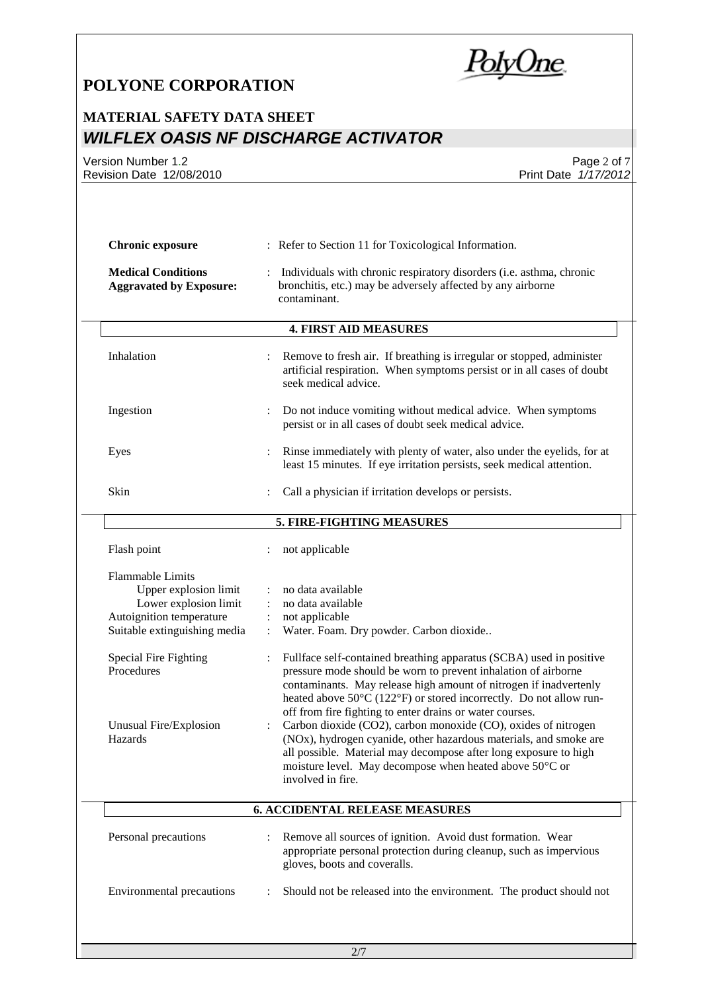PolyOne

## **MATERIAL SAFETY DATA SHEET** *WILFLEX OASIS NF DISCHARGE ACTIVATOR*

Version Number 1.2 Revision Date 12/08/2010

Page 2 of 7 Print Date *1/17/2012*

| <b>Chronic exposure</b>                                                                                                                                                                                                  | : Refer to Section 11 for Toxicological Information.                                                                                                                                                                                                                                                                                                                                                                                                                                                                                                                                                                                                                                                                                                                                                           |  |  |
|--------------------------------------------------------------------------------------------------------------------------------------------------------------------------------------------------------------------------|----------------------------------------------------------------------------------------------------------------------------------------------------------------------------------------------------------------------------------------------------------------------------------------------------------------------------------------------------------------------------------------------------------------------------------------------------------------------------------------------------------------------------------------------------------------------------------------------------------------------------------------------------------------------------------------------------------------------------------------------------------------------------------------------------------------|--|--|
| <b>Medical Conditions</b><br><b>Aggravated by Exposure:</b>                                                                                                                                                              | Individuals with chronic respiratory disorders (i.e. asthma, chronic<br>bronchitis, etc.) may be adversely affected by any airborne<br>contaminant.                                                                                                                                                                                                                                                                                                                                                                                                                                                                                                                                                                                                                                                            |  |  |
|                                                                                                                                                                                                                          | <b>4. FIRST AID MEASURES</b>                                                                                                                                                                                                                                                                                                                                                                                                                                                                                                                                                                                                                                                                                                                                                                                   |  |  |
| Inhalation                                                                                                                                                                                                               | Remove to fresh air. If breathing is irregular or stopped, administer<br>artificial respiration. When symptoms persist or in all cases of doubt<br>seek medical advice.                                                                                                                                                                                                                                                                                                                                                                                                                                                                                                                                                                                                                                        |  |  |
| Ingestion                                                                                                                                                                                                                | Do not induce vomiting without medical advice. When symptoms<br>persist or in all cases of doubt seek medical advice.                                                                                                                                                                                                                                                                                                                                                                                                                                                                                                                                                                                                                                                                                          |  |  |
| Eyes                                                                                                                                                                                                                     | Rinse immediately with plenty of water, also under the eyelids, for at<br>least 15 minutes. If eye irritation persists, seek medical attention.                                                                                                                                                                                                                                                                                                                                                                                                                                                                                                                                                                                                                                                                |  |  |
| Skin                                                                                                                                                                                                                     | Call a physician if irritation develops or persists.                                                                                                                                                                                                                                                                                                                                                                                                                                                                                                                                                                                                                                                                                                                                                           |  |  |
|                                                                                                                                                                                                                          | 5. FIRE-FIGHTING MEASURES                                                                                                                                                                                                                                                                                                                                                                                                                                                                                                                                                                                                                                                                                                                                                                                      |  |  |
| Flash point                                                                                                                                                                                                              | not applicable                                                                                                                                                                                                                                                                                                                                                                                                                                                                                                                                                                                                                                                                                                                                                                                                 |  |  |
| <b>Flammable Limits</b><br>Upper explosion limit<br>Lower explosion limit<br>Autoignition temperature<br>Suitable extinguishing media<br><b>Special Fire Fighting</b><br>Procedures<br>Unusual Fire/Explosion<br>Hazards | no data available<br>no data available<br>$\ddot{\cdot}$<br>not applicable<br>$\ddot{\cdot}$<br>Water. Foam. Dry powder. Carbon dioxide<br>$\ddot{\cdot}$<br>Fullface self-contained breathing apparatus (SCBA) used in positive<br>pressure mode should be worn to prevent inhalation of airborne<br>contaminants. May release high amount of nitrogen if inadvertenly<br>heated above 50°C (122°F) or stored incorrectly. Do not allow run-<br>off from fire fighting to enter drains or water courses.<br>Carbon dioxide (CO2), carbon monoxide (CO), oxides of nitrogen<br>(NOx), hydrogen cyanide, other hazardous materials, and smoke are<br>all possible. Material may decompose after long exposure to high<br>moisture level. May decompose when heated above $50^{\circ}$ C or<br>involved in fire. |  |  |
|                                                                                                                                                                                                                          | <b>6. ACCIDENTAL RELEASE MEASURES</b>                                                                                                                                                                                                                                                                                                                                                                                                                                                                                                                                                                                                                                                                                                                                                                          |  |  |
| Personal precautions                                                                                                                                                                                                     | Remove all sources of ignition. Avoid dust formation. Wear<br>appropriate personal protection during cleanup, such as impervious<br>gloves, boots and coveralls.                                                                                                                                                                                                                                                                                                                                                                                                                                                                                                                                                                                                                                               |  |  |
|                                                                                                                                                                                                                          |                                                                                                                                                                                                                                                                                                                                                                                                                                                                                                                                                                                                                                                                                                                                                                                                                |  |  |

2/7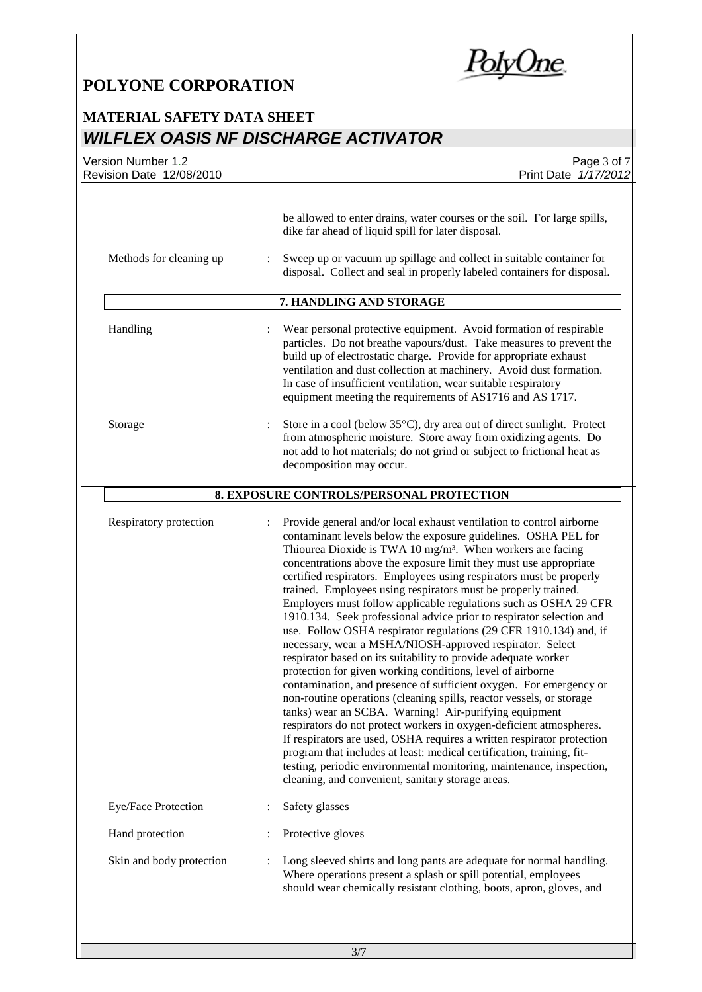PolyOne

### **MATERIAL SAFETY DATA SHEET** *WILFLEX OASIS NF DISCHARGE ACTIVATOR*

| Version Number 1.2<br>Revision Date 12/08/2010 | Page 3 of 7<br>Print Date 1/17/2012                                                                                                                                                                                                                                                                                                                                                                                                                                                                                                                                                                                                                                                                                                                                                                                                                                                                                                                                                                                                                                                                                                                                                                                                                                                                                                                                                                       |  |  |
|------------------------------------------------|-----------------------------------------------------------------------------------------------------------------------------------------------------------------------------------------------------------------------------------------------------------------------------------------------------------------------------------------------------------------------------------------------------------------------------------------------------------------------------------------------------------------------------------------------------------------------------------------------------------------------------------------------------------------------------------------------------------------------------------------------------------------------------------------------------------------------------------------------------------------------------------------------------------------------------------------------------------------------------------------------------------------------------------------------------------------------------------------------------------------------------------------------------------------------------------------------------------------------------------------------------------------------------------------------------------------------------------------------------------------------------------------------------------|--|--|
| Methods for cleaning up                        | be allowed to enter drains, water courses or the soil. For large spills,<br>dike far ahead of liquid spill for later disposal.<br>Sweep up or vacuum up spillage and collect in suitable container for<br>disposal. Collect and seal in properly labeled containers for disposal.                                                                                                                                                                                                                                                                                                                                                                                                                                                                                                                                                                                                                                                                                                                                                                                                                                                                                                                                                                                                                                                                                                                         |  |  |
|                                                |                                                                                                                                                                                                                                                                                                                                                                                                                                                                                                                                                                                                                                                                                                                                                                                                                                                                                                                                                                                                                                                                                                                                                                                                                                                                                                                                                                                                           |  |  |
| Handling                                       | 7. HANDLING AND STORAGE<br>Wear personal protective equipment. Avoid formation of respirable<br>particles. Do not breathe vapours/dust. Take measures to prevent the<br>build up of electrostatic charge. Provide for appropriate exhaust<br>ventilation and dust collection at machinery. Avoid dust formation.<br>In case of insufficient ventilation, wear suitable respiratory<br>equipment meeting the requirements of AS1716 and AS 1717.                                                                                                                                                                                                                                                                                                                                                                                                                                                                                                                                                                                                                                                                                                                                                                                                                                                                                                                                                           |  |  |
| Storage                                        | Store in a cool (below 35°C), dry area out of direct sunlight. Protect<br>from atmospheric moisture. Store away from oxidizing agents. Do<br>not add to hot materials; do not grind or subject to frictional heat as<br>decomposition may occur.                                                                                                                                                                                                                                                                                                                                                                                                                                                                                                                                                                                                                                                                                                                                                                                                                                                                                                                                                                                                                                                                                                                                                          |  |  |
| 8. EXPOSURE CONTROLS/PERSONAL PROTECTION       |                                                                                                                                                                                                                                                                                                                                                                                                                                                                                                                                                                                                                                                                                                                                                                                                                                                                                                                                                                                                                                                                                                                                                                                                                                                                                                                                                                                                           |  |  |
| Respiratory protection                         | Provide general and/or local exhaust ventilation to control airborne<br>contaminant levels below the exposure guidelines. OSHA PEL for<br>Thiourea Dioxide is TWA 10 mg/m <sup>3</sup> . When workers are facing<br>concentrations above the exposure limit they must use appropriate<br>certified respirators. Employees using respirators must be properly<br>trained. Employees using respirators must be properly trained.<br>Employers must follow applicable regulations such as OSHA 29 CFR<br>1910.134. Seek professional advice prior to respirator selection and<br>use. Follow OSHA respirator regulations (29 CFR 1910.134) and, if<br>necessary, wear a MSHA/NIOSH-approved respirator. Select<br>respirator based on its suitability to provide adequate worker<br>protection for given working conditions, level of airborne<br>contamination, and presence of sufficient oxygen. For emergency or<br>non-routine operations (cleaning spills, reactor vessels, or storage<br>tanks) wear an SCBA. Warning! Air-purifying equipment<br>respirators do not protect workers in oxygen-deficient atmospheres.<br>If respirators are used, OSHA requires a written respirator protection<br>program that includes at least: medical certification, training, fit-<br>testing, periodic environmental monitoring, maintenance, inspection,<br>cleaning, and convenient, sanitary storage areas. |  |  |
| Eye/Face Protection                            | Safety glasses                                                                                                                                                                                                                                                                                                                                                                                                                                                                                                                                                                                                                                                                                                                                                                                                                                                                                                                                                                                                                                                                                                                                                                                                                                                                                                                                                                                            |  |  |
| Hand protection                                | Protective gloves                                                                                                                                                                                                                                                                                                                                                                                                                                                                                                                                                                                                                                                                                                                                                                                                                                                                                                                                                                                                                                                                                                                                                                                                                                                                                                                                                                                         |  |  |
| Skin and body protection                       | Long sleeved shirts and long pants are adequate for normal handling.<br>Where operations present a splash or spill potential, employees<br>should wear chemically resistant clothing, boots, apron, gloves, and                                                                                                                                                                                                                                                                                                                                                                                                                                                                                                                                                                                                                                                                                                                                                                                                                                                                                                                                                                                                                                                                                                                                                                                           |  |  |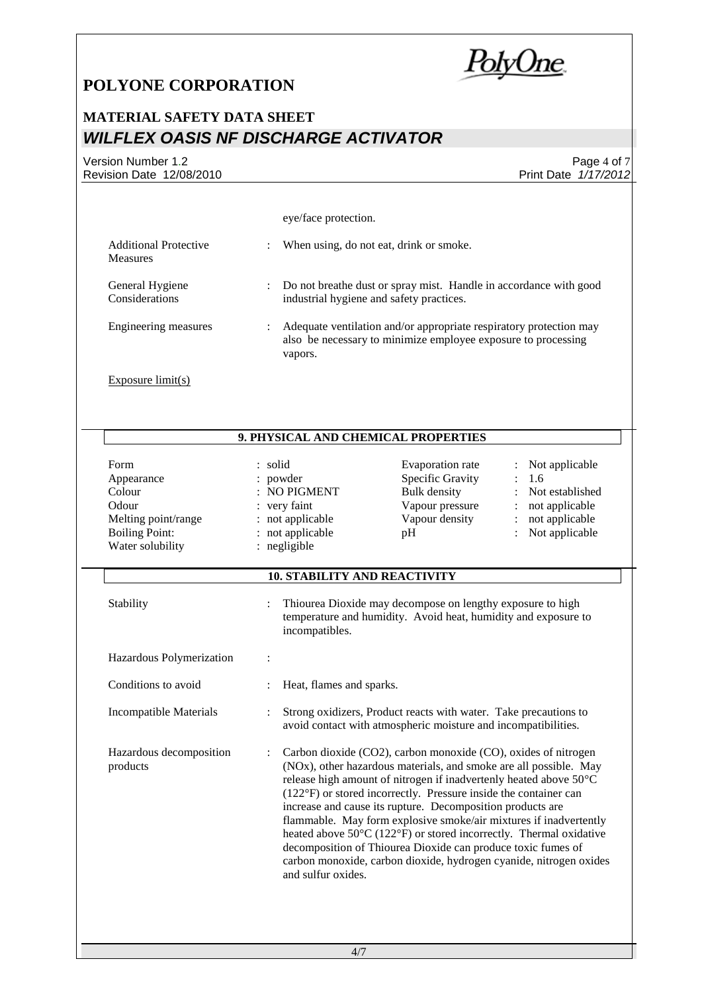PolyOne

 $\overline{a}$ 

 $\overline{a}$ 

## **MATERIAL SAFETY DATA SHEET** *WILFLEX OASIS NF DISCHARGE ACTIVATOR*

Version Number 1.2 Revision Date 12/08/2010

Page 4 of 7 Print Date *1/17/2012*

|                                                                                                           | eye/face protection.                                                                                                                                                                                                                                                                                                                                                                                                                                                                                                                                                                                                                                                   |                                                                                                                              |                                                                                                                  |  |  |  |
|-----------------------------------------------------------------------------------------------------------|------------------------------------------------------------------------------------------------------------------------------------------------------------------------------------------------------------------------------------------------------------------------------------------------------------------------------------------------------------------------------------------------------------------------------------------------------------------------------------------------------------------------------------------------------------------------------------------------------------------------------------------------------------------------|------------------------------------------------------------------------------------------------------------------------------|------------------------------------------------------------------------------------------------------------------|--|--|--|
|                                                                                                           |                                                                                                                                                                                                                                                                                                                                                                                                                                                                                                                                                                                                                                                                        |                                                                                                                              |                                                                                                                  |  |  |  |
| <b>Additional Protective</b><br>Measures                                                                  | When using, do not eat, drink or smoke.                                                                                                                                                                                                                                                                                                                                                                                                                                                                                                                                                                                                                                |                                                                                                                              |                                                                                                                  |  |  |  |
| General Hygiene<br>Considerations                                                                         | : Do not breathe dust or spray mist. Handle in accordance with good<br>industrial hygiene and safety practices.                                                                                                                                                                                                                                                                                                                                                                                                                                                                                                                                                        |                                                                                                                              |                                                                                                                  |  |  |  |
| Engineering measures                                                                                      | Adequate ventilation and/or appropriate respiratory protection may<br>$\ddot{\phantom{a}}$<br>also be necessary to minimize employee exposure to processing<br>vapors.                                                                                                                                                                                                                                                                                                                                                                                                                                                                                                 |                                                                                                                              |                                                                                                                  |  |  |  |
| Exposure $limit(s)$                                                                                       |                                                                                                                                                                                                                                                                                                                                                                                                                                                                                                                                                                                                                                                                        |                                                                                                                              |                                                                                                                  |  |  |  |
|                                                                                                           |                                                                                                                                                                                                                                                                                                                                                                                                                                                                                                                                                                                                                                                                        |                                                                                                                              |                                                                                                                  |  |  |  |
|                                                                                                           | 9. PHYSICAL AND CHEMICAL PROPERTIES                                                                                                                                                                                                                                                                                                                                                                                                                                                                                                                                                                                                                                    |                                                                                                                              |                                                                                                                  |  |  |  |
| Form<br>Appearance<br>Colour<br>Odour<br>Melting point/range<br><b>Boiling Point:</b><br>Water solubility | : solid<br>: powder<br>: NO PIGMENT<br>: very faint<br>: not applicable<br>: not applicable<br>: negligible                                                                                                                                                                                                                                                                                                                                                                                                                                                                                                                                                            | Evaporation rate<br>Specific Gravity<br><b>Bulk</b> density<br>Vapour pressure<br>Vapour density<br>pH                       | Not applicable<br>1.6<br>$\ddot{\cdot}$<br>Not established<br>not applicable<br>not applicable<br>Not applicable |  |  |  |
|                                                                                                           | <b>10. STABILITY AND REACTIVITY</b>                                                                                                                                                                                                                                                                                                                                                                                                                                                                                                                                                                                                                                    |                                                                                                                              |                                                                                                                  |  |  |  |
| Stability                                                                                                 | incompatibles.                                                                                                                                                                                                                                                                                                                                                                                                                                                                                                                                                                                                                                                         | Thiourea Dioxide may decompose on lengthy exposure to high<br>temperature and humidity. Avoid heat, humidity and exposure to |                                                                                                                  |  |  |  |
| Hazardous Polymerization                                                                                  |                                                                                                                                                                                                                                                                                                                                                                                                                                                                                                                                                                                                                                                                        |                                                                                                                              |                                                                                                                  |  |  |  |
| Conditions to avoid                                                                                       | Heat, flames and sparks.                                                                                                                                                                                                                                                                                                                                                                                                                                                                                                                                                                                                                                               |                                                                                                                              |                                                                                                                  |  |  |  |
| <b>Incompatible Materials</b>                                                                             | Strong oxidizers, Product reacts with water. Take precautions to<br>$\ddot{\cdot}$<br>avoid contact with atmospheric moisture and incompatibilities.                                                                                                                                                                                                                                                                                                                                                                                                                                                                                                                   |                                                                                                                              |                                                                                                                  |  |  |  |
| Hazardous decomposition<br>products                                                                       | Carbon dioxide (CO2), carbon monoxide (CO), oxides of nitrogen<br>(NOx), other hazardous materials, and smoke are all possible. May<br>release high amount of nitrogen if inadvertenly heated above 50°C<br>(122°F) or stored incorrectly. Pressure inside the container can<br>increase and cause its rupture. Decomposition products are<br>flammable. May form explosive smoke/air mixtures if inadvertently<br>heated above $50^{\circ}$ C (122 $^{\circ}$ F) or stored incorrectly. Thermal oxidative<br>decomposition of Thiourea Dioxide can produce toxic fumes of<br>carbon monoxide, carbon dioxide, hydrogen cyanide, nitrogen oxides<br>and sulfur oxides. |                                                                                                                              |                                                                                                                  |  |  |  |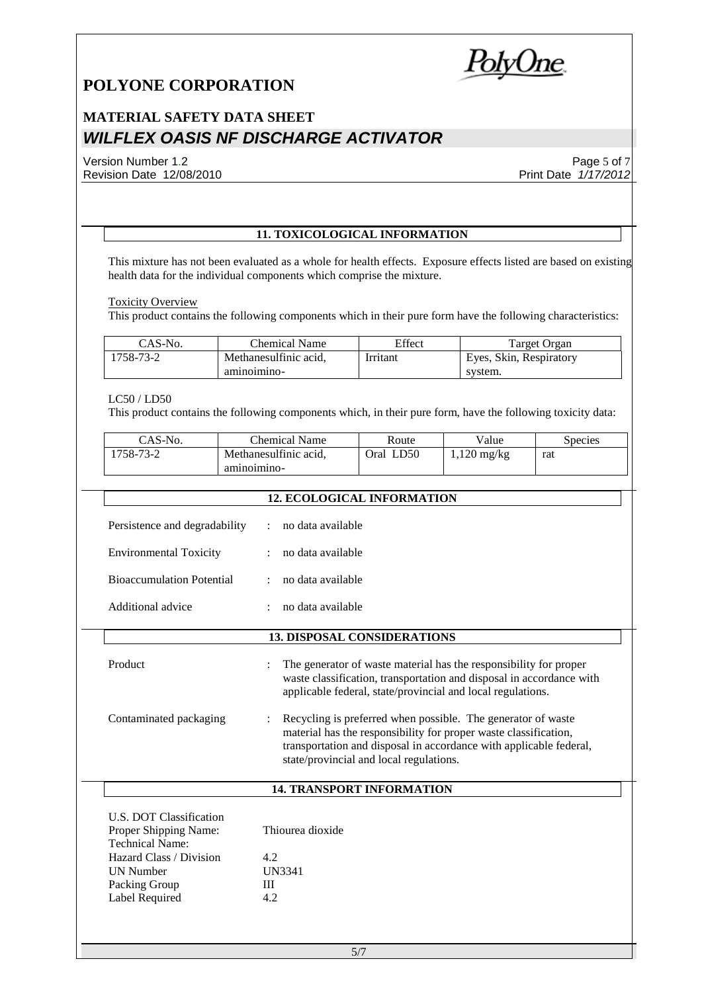PolyOne

## **MATERIAL SAFETY DATA SHEET** *WILFLEX OASIS NF DISCHARGE ACTIVATOR*

#### Version Number 1.2 Revision Date 12/08/2010

Page 5 of 7 Print Date *1/17/2012*

#### **11. TOXICOLOGICAL INFORMATION**

This mixture has not been evaluated as a whole for health effects. Exposure effects listed are based on existing health data for the individual components which comprise the mixture.

#### Toxicity Overview

This product contains the following components which in their pure form have the following characteristics:

| $CAS-N0$ . | Chemical Name         | Effect   | Target Organ            |
|------------|-----------------------|----------|-------------------------|
| 1758-73-2  | Methanesulfinic acid. | Irritant | Eyes, Skin, Respiratory |
|            | aminoimino-           |          | system.                 |

#### LC50 / LD50

 $\overline{a}$ 

 $\overline{a}$ 

UN Number<br>Packing Group 111 Packing Group III<br>Label Required 4.2

Label Required

This product contains the following components which, in their pure form, have the following toxicity data:

| CAS-No.   | Chemical Name         | Route        | $V$ alue      | Species |
|-----------|-----------------------|--------------|---------------|---------|
| !758-73-2 | Methanesulfinic acid. | LD50<br>)ral | $1,120$ mg/kg | rat     |
|           | aminoimino-           |              |               |         |

|                                                                                                |     | <b>12. ECOLOGICAL INFORMATION</b>                                                                                                                                                                                                                 |  |
|------------------------------------------------------------------------------------------------|-----|---------------------------------------------------------------------------------------------------------------------------------------------------------------------------------------------------------------------------------------------------|--|
| Persistence and degradability<br><b>Environmental Toxicity</b>                                 |     | no data available<br>no data available                                                                                                                                                                                                            |  |
| <b>Bioaccumulation Potential</b>                                                               |     | no data available                                                                                                                                                                                                                                 |  |
| Additional advice                                                                              |     | no data available                                                                                                                                                                                                                                 |  |
|                                                                                                |     | <b>13. DISPOSAL CONSIDERATIONS</b>                                                                                                                                                                                                                |  |
| Product                                                                                        |     | The generator of waste material has the responsibility for proper<br>waste classification, transportation and disposal in accordance with<br>applicable federal, state/provincial and local regulations.                                          |  |
| Contaminated packaging                                                                         |     | Recycling is preferred when possible. The generator of waste<br>material has the responsibility for proper waste classification,<br>transportation and disposal in accordance with applicable federal,<br>state/provincial and local regulations. |  |
|                                                                                                |     | <b>14. TRANSPORT INFORMATION</b>                                                                                                                                                                                                                  |  |
| U.S. DOT Classification<br>Proper Shipping Name:<br>Technical Name:<br>Hazard Class / Division | 4.2 | Thiourea dioxide                                                                                                                                                                                                                                  |  |
|                                                                                                |     |                                                                                                                                                                                                                                                   |  |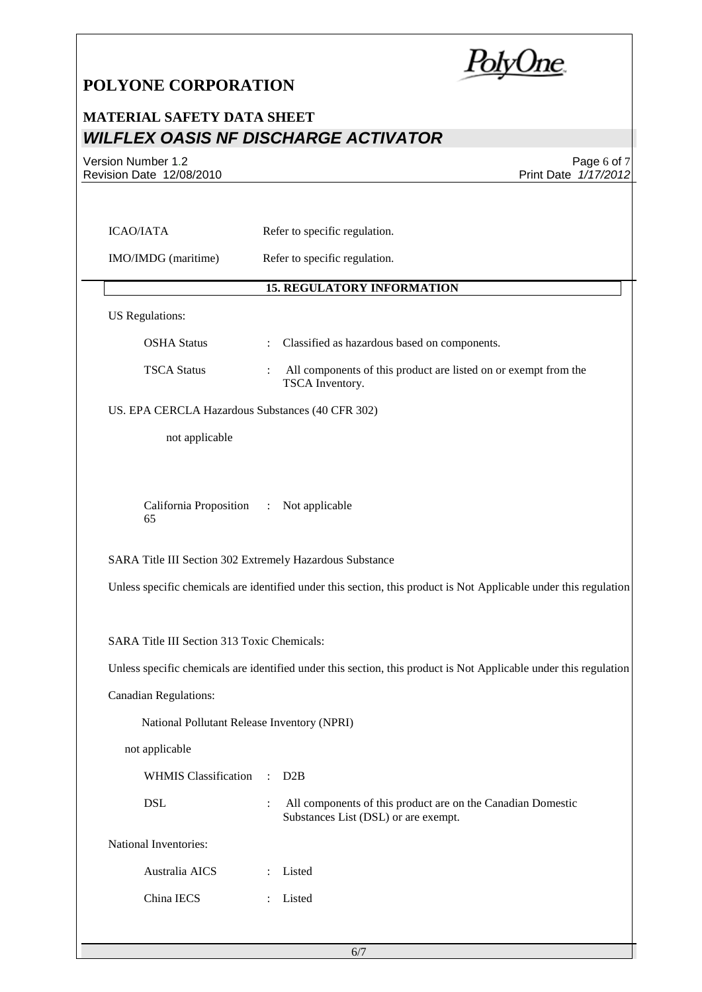PolyOne

### **MATERIAL SAFETY DATA SHEET** *WILFLEX OASIS NF DISCHARGE ACTIVATOR*

Version Number 1.2 Revision Date 12/08/2010

Page 6 of 7 Print Date *1/17/2012*

| IMO/IMDG (maritime)                                                         | Refer to specific regulation.                                                                                                                                                                                                                    |
|-----------------------------------------------------------------------------|--------------------------------------------------------------------------------------------------------------------------------------------------------------------------------------------------------------------------------------------------|
|                                                                             | <b>15. REGULATORY INFORMATION</b>                                                                                                                                                                                                                |
| <b>US</b> Regulations:                                                      |                                                                                                                                                                                                                                                  |
| <b>OSHA Status</b>                                                          | Classified as hazardous based on components.<br>$\ddot{\cdot}$                                                                                                                                                                                   |
| <b>TSCA Status</b>                                                          | All components of this product are listed on or exempt from the<br>TSCA Inventory.                                                                                                                                                               |
|                                                                             | US. EPA CERCLA Hazardous Substances (40 CFR 302)                                                                                                                                                                                                 |
| not applicable                                                              |                                                                                                                                                                                                                                                  |
| California Proposition<br>65                                                | Not applicable<br>$\mathcal{L}^{\mathcal{L}}$ .                                                                                                                                                                                                  |
|                                                                             |                                                                                                                                                                                                                                                  |
|                                                                             | SARA Title III Section 302 Extremely Hazardous Substance                                                                                                                                                                                         |
|                                                                             |                                                                                                                                                                                                                                                  |
|                                                                             |                                                                                                                                                                                                                                                  |
|                                                                             |                                                                                                                                                                                                                                                  |
| SARA Title III Section 313 Toxic Chemicals:<br><b>Canadian Regulations:</b> |                                                                                                                                                                                                                                                  |
|                                                                             | National Pollutant Release Inventory (NPRI)                                                                                                                                                                                                      |
| not applicable                                                              |                                                                                                                                                                                                                                                  |
| <b>WHMIS Classification</b>                                                 | D2B<br>$\cdot$                                                                                                                                                                                                                                   |
| <b>DSL</b>                                                                  | All components of this product are on the Canadian Domestic<br>$\ddot{\cdot}$<br>Substances List (DSL) or are exempt.                                                                                                                            |
| National Inventories:                                                       |                                                                                                                                                                                                                                                  |
| Australia AICS                                                              | Unless specific chemicals are identified under this section, this product is Not Applicable under this regulation<br>Unless specific chemicals are identified under this section, this product is Not Applicable under this regulation<br>Listed |